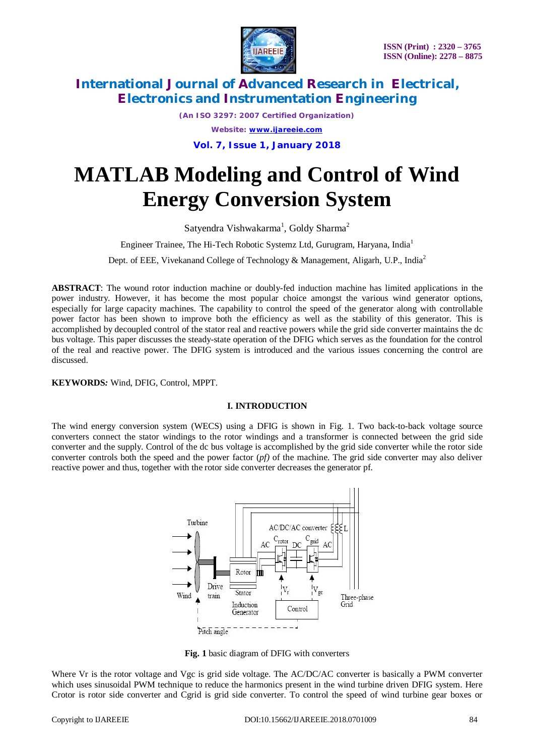

*(An ISO 3297: 2007 Certified Organization) Website: [www.ijareeie.com](http://www.ijareeie.com)* **Vol. 7, Issue 1, January 2018**

# **MATLAB Modeling and Control of Wind Energy Conversion System**

Satyendra Vishwakarma<sup>1</sup>, Goldy Sharma<sup>2</sup>

Engineer Trainee, The Hi-Tech Robotic Systemz Ltd, Gurugram, Haryana, India<sup>1</sup>

Dept. of EEE, Vivekanand College of Technology & Management, Aligarh, U.P., India<sup>2</sup>

**ABSTRACT**: The wound rotor induction machine or doubly-fed induction machine has limited applications in the power industry. However, it has become the most popular choice amongst the various wind generator options, especially for large capacity machines. The capability to control the speed of the generator along with controllable power factor has been shown to improve both the efficiency as well as the stability of this generator. This is accomplished by decoupled control of the stator real and reactive powers while the grid side converter maintains the dc bus voltage. This paper discusses the steady-state operation of the DFIG which serves as the foundation for the control of the real and reactive power. The DFIG system is introduced and the various issues concerning the control are discussed.

**KEYWORDS***:* Wind, DFIG, Control, MPPT.

### **I. INTRODUCTION**

The wind energy conversion system (WECS) using a DFIG is shown in Fig. 1. Two back-to-back voltage source converters connect the stator windings to the rotor windings and a transformer is connected between the grid side converter and the supply. Control of the dc bus voltage is accomplished by the grid side converter while the rotor side converter controls both the speed and the power factor (*pf)* of the machine. The grid side converter may also deliver reactive power and thus, together with the rotor side converter decreases the generator pf.



**Fig. 1** basic diagram of DFIG with converters

Where Vr is the rotor voltage and Vgc is grid side voltage. The AC/DC/AC converter is basically a PWM converter which uses sinusoidal PWM technique to reduce the harmonics present in the wind turbine driven DFIG system. Here Crotor is rotor side converter and Cgrid is grid side converter. To control the speed of wind turbine gear boxes or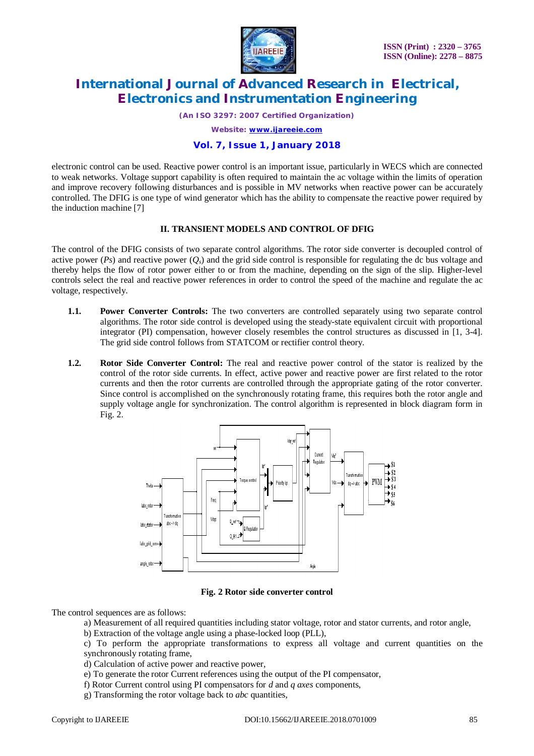

*(An ISO 3297: 2007 Certified Organization)*

*Website: [www.ijareeie.com](http://www.ijareeie.com)*

#### **Vol. 7, Issue 1, January 2018**

electronic control can be used. Reactive power control is an important issue, particularly in WECS which are connected to weak networks. Voltage support capability is often required to maintain the ac voltage within the limits of operation and improve recovery following disturbances and is possible in MV networks when reactive power can be accurately controlled. The DFIG is one type of wind generator which has the ability to compensate the reactive power required by the induction machine [7]

#### **II. TRANSIENT MODELS AND CONTROL OF DFIG**

The control of the DFIG consists of two separate control algorithms. The rotor side converter is decoupled control of active power ( $Ps$ ) and reactive power ( $Q_s$ ) and the grid side control is responsible for regulating the dc bus voltage and thereby helps the flow of rotor power either to or from the machine, depending on the sign of the slip. Higher-level controls select the real and reactive power references in order to control the speed of the machine and regulate the ac voltage, respectively.

- **1.1. Power Converter Controls:** The two converters are controlled separately using two separate control algorithms. The rotor side control is developed using the steady-state equivalent circuit with proportional integrator (PI) compensation, however closely resembles the control structures as discussed in [1, 3-4]. The grid side control follows from STATCOM or rectifier control theory.
- **1.2. Rotor Side Converter Control:** The real and reactive power control of the stator is realized by the control of the rotor side currents. In effect, active power and reactive power are first related to the rotor currents and then the rotor currents are controlled through the appropriate gating of the rotor converter. Since control is accomplished on the synchronously rotating frame, this requires both the rotor angle and supply voltage angle for synchronization. The control algorithm is represented in block diagram form in Fig. 2.



**Fig. 2 Rotor side converter control**

The control sequences are as follows:

- a) Measurement of all required quantities including stator voltage, rotor and stator currents, and rotor angle,
- b) Extraction of the voltage angle using a phase-locked loop (PLL),

c) To perform the appropriate transformations to express all voltage and current quantities on the synchronously rotating frame,

d) Calculation of active power and reactive power,

- e) To generate the rotor Current references using the output of the PI compensator,
- f) Rotor Current control using PI compensators for *d* and *q axes* components,
- g) Transforming the rotor voltage back to *abc* quantities,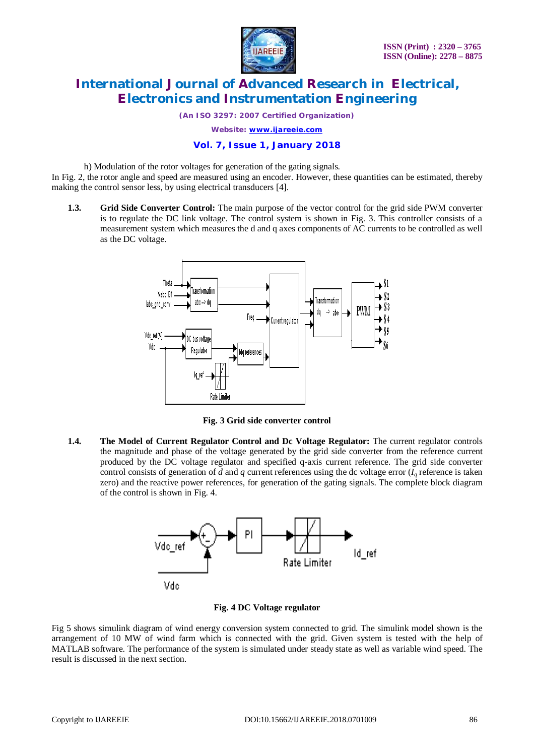

*(An ISO 3297: 2007 Certified Organization)*

*Website: [www.ijareeie.com](http://www.ijareeie.com)*

### **Vol. 7, Issue 1, January 2018**

h) Modulation of the rotor voltages for generation of the gating signals.

In Fig. 2, the rotor angle and speed are measured using an encoder. However, these quantities can be estimated, thereby making the control sensor less, by using electrical transducers [4].

**1.3. Grid Side Converter Control:** The main purpose of the vector control for the grid side PWM converter is to regulate the DC link voltage. The control system is shown in Fig. 3. This controller consists of a measurement system which measures the d and q axes components of AC currents to be controlled as well as the DC voltage.



**Fig. 3 Grid side converter control**

**1.4. The Model of Current Regulator Control and Dc Voltage Regulator:** The current regulator controls the magnitude and phase of the voltage generated by the grid side converter from the reference current produced by the DC voltage regulator and specified q-axis current reference. The grid side converter control consists of generation of *d* and *q* current references using the dc voltage error  $(I_a$  reference is taken zero) and the reactive power references, for generation of the gating signals. The complete block diagram of the control is shown in Fig. 4.



### **Fig. 4 DC Voltage regulator**

Fig 5 shows simulink diagram of wind energy conversion system connected to grid. The simulink model shown is the arrangement of 10 MW of wind farm which is connected with the grid. Given system is tested with the help of MATLAB software. The performance of the system is simulated under steady state as well as variable wind speed. The result is discussed in the next section.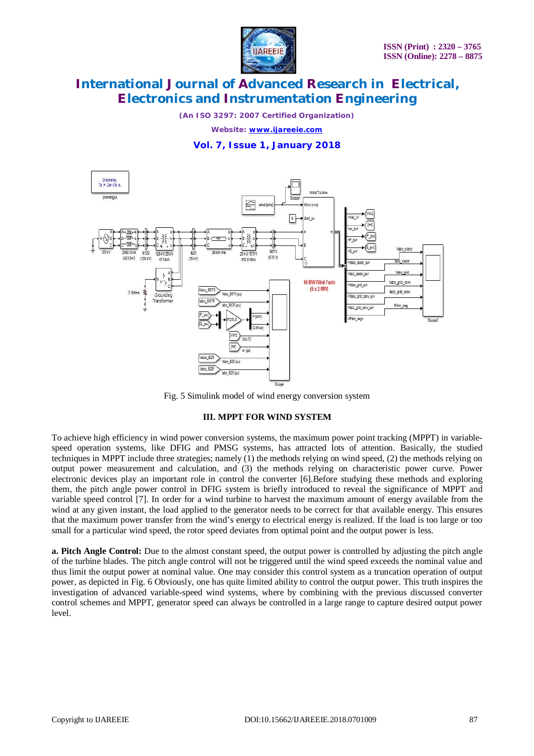

*(An ISO 3297: 2007 Certified Organization)*

*Website: [www.ijareeie.com](http://www.ijareeie.com)*

### **Vol. 7, Issue 1, January 2018**



Fig. 5 Simulink model of wind energy conversion system

#### **III. MPPT FOR WIND SYSTEM**

To achieve high efficiency in wind power conversion systems, the maximum power point tracking (MPPT) in variablespeed operation systems, like DFIG and PMSG systems, has attracted lots of attention. Basically, the studied techniques in MPPT include three strategies; namely (1) the methods relying on wind speed, (2) the methods relying on output power measurement and calculation, and (3) the methods relying on characteristic power curve. Power electronic devices play an important role in control the converter [6].Before studying these methods and exploring them, the pitch angle power control in DFIG system is briefly introduced to reveal the significance of MPPT and variable speed control [7]. In order for a wind turbine to harvest the maximum amount of energy available from the wind at any given instant, the load applied to the generator needs to be correct for that available energy. This ensures that the maximum power transfer from the wind's energy to electrical energy is realized. If the load is too large or too small for a particular wind speed, the rotor speed deviates from optimal point and the output power is less.

**a. Pitch Angle Control:** Due to the almost constant speed, the output power is controlled by adjusting the pitch angle of the turbine blades. The pitch angle control will not be triggered until the wind speed exceeds the nominal value and thus limit the output power at nominal value. One may consider this control system as a truncation operation of output power, as depicted in Fig. 6 Obviously, one has quite limited ability to control the output power. This truth inspires the investigation of advanced variable-speed wind systems, where by combining with the previous discussed converter control schemes and MPPT, generator speed can always be controlled in a large range to capture desired output power level.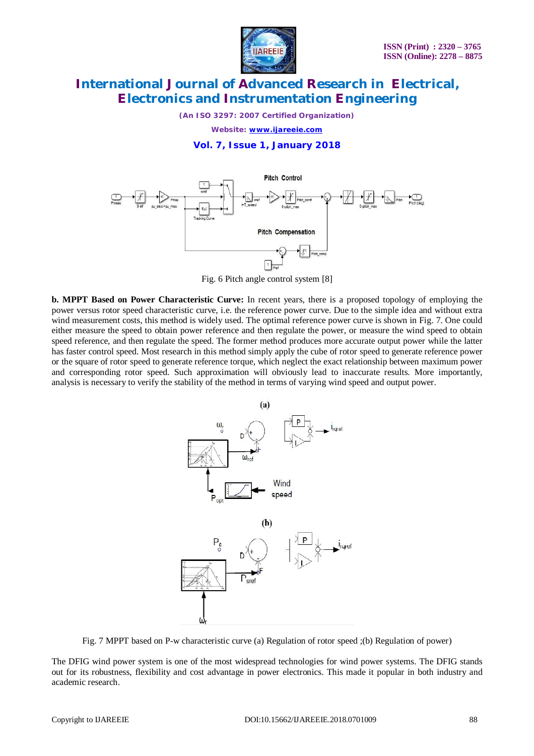

*(An ISO 3297: 2007 Certified Organization)*

*Website: [www.ijareeie.com](http://www.ijareeie.com)*

#### **Vol. 7, Issue 1, January 2018**



Fig. 6 Pitch angle control system [8]

**b. MPPT Based on Power Characteristic Curve:** In recent years, there is a proposed topology of employing the power versus rotor speed characteristic curve, i.e. the reference power curve. Due to the simple idea and without extra wind measurement costs, this method is widely used. The optimal reference power curve is shown in Fig. 7. One could either measure the speed to obtain power reference and then regulate the power, or measure the wind speed to obtain speed reference, and then regulate the speed. The former method produces more accurate output power while the latter has faster control speed. Most research in this method simply apply the cube of rotor speed to generate reference power or the square of rotor speed to generate reference torque, which neglect the exact relationship between maximum power and corresponding rotor speed. Such approximation will obviously lead to inaccurate results. More importantly, analysis is necessary to verify the stability of the method in terms of varying wind speed and output power.



Fig. 7 MPPT based on P-w characteristic curve (a) Regulation of rotor speed ;(b) Regulation of power)

The DFIG wind power system is one of the most widespread technologies for wind power systems. The DFIG stands out for its robustness, flexibility and cost advantage in power electronics. This made it popular in both industry and academic research.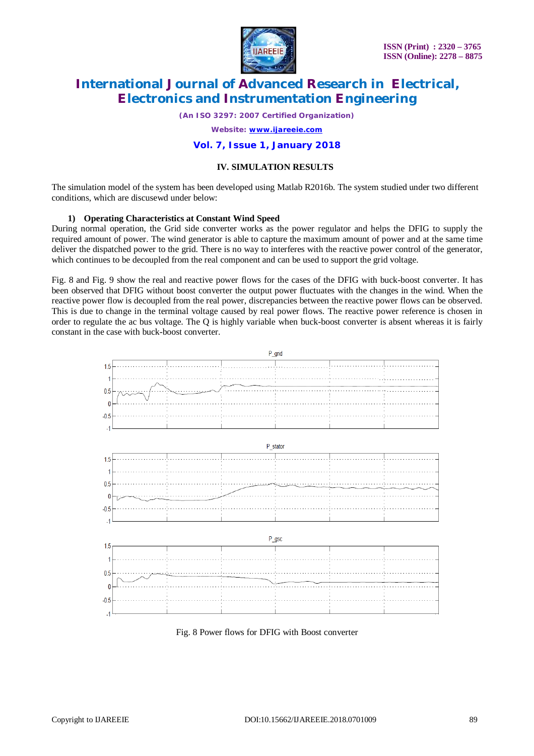

*(An ISO 3297: 2007 Certified Organization)*

*Website: [www.ijareeie.com](http://www.ijareeie.com)*

#### **Vol. 7, Issue 1, January 2018**

#### **IV. SIMULATION RESULTS**

The simulation model of the system has been developed using Matlab R2016b. The system studied under two different conditions, which are discusewd under below:

#### **1) Operating Characteristics at Constant Wind Speed**

During normal operation, the Grid side converter works as the power regulator and helps the DFIG to supply the required amount of power. The wind generator is able to capture the maximum amount of power and at the same time deliver the dispatched power to the grid. There is no way to interferes with the reactive power control of the generator, which continues to be decoupled from the real component and can be used to support the grid voltage.

Fig. 8 and Fig. 9 show the real and reactive power flows for the cases of the DFIG with buck-boost converter. It has been observed that DFIG without boost converter the output power fluctuates with the changes in the wind. When the reactive power flow is decoupled from the real power, discrepancies between the reactive power flows can be observed. This is due to change in the terminal voltage caused by real power flows. The reactive power reference is chosen in order to regulate the ac bus voltage. The  $Q$  is highly variable when buck-boost converter is absent whereas it is fairly constant in the case with buck-boost converter.



Fig. 8 Power flows for DFIG with Boost converter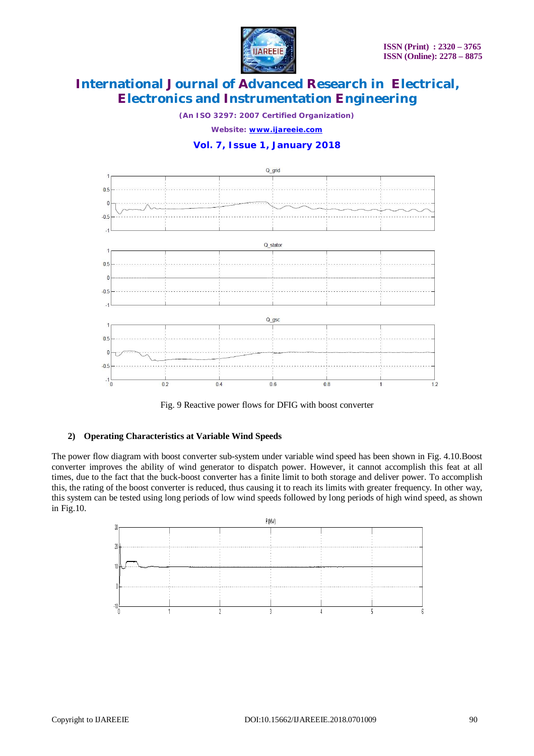

*(An ISO 3297: 2007 Certified Organization)*

*Website: [www.ijareeie.com](http://www.ijareeie.com)*

### **Vol. 7, Issue 1, January 2018**





#### **2) Operating Characteristics at Variable Wind Speeds**

The power flow diagram with boost converter sub-system under variable wind speed has been shown in Fig. 4.10.Boost converter improves the ability of wind generator to dispatch power. However, it cannot accomplish this feat at all times, due to the fact that the buck-boost converter has a finite limit to both storage and deliver power. To accomplish this, the rating of the boost converter is reduced, thus causing it to reach its limits with greater frequency. In other way, this system can be tested using long periods of low wind speeds followed by long periods of high wind speed, as shown in Fig.10.